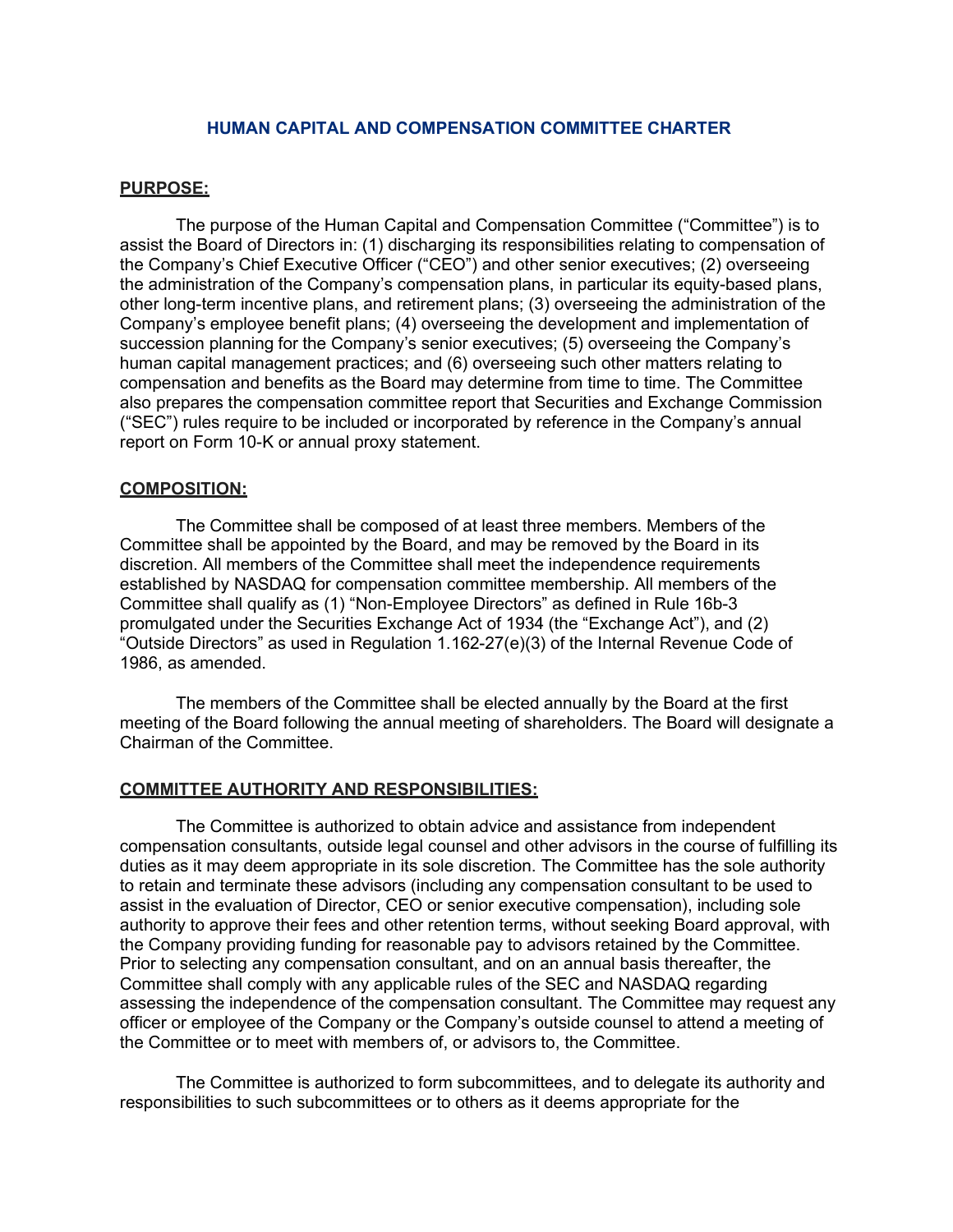## HUMAN CAPITAL AND COMPENSATION COMMITTEE CHARTER

### PURPOSE:

The purpose of the Human Capital and Compensation Committee ("Committee") is to assist the Board of Directors in: (1) discharging its responsibilities relating to compensation of the Company's Chief Executive Officer ("CEO") and other senior executives; (2) overseeing the administration of the Company's compensation plans, in particular its equity-based plans, other long-term incentive plans, and retirement plans; (3) overseeing the administration of the Company's employee benefit plans; (4) overseeing the development and implementation of succession planning for the Company's senior executives; (5) overseeing the Company's human capital management practices; and (6) overseeing such other matters relating to compensation and benefits as the Board may determine from time to time. The Committee also prepares the compensation committee report that Securities and Exchange Commission ("SEC") rules require to be included or incorporated by reference in the Company's annual report on Form 10-K or annual proxy statement.

### COMPOSITION:

The Committee shall be composed of at least three members. Members of the Committee shall be appointed by the Board, and may be removed by the Board in its discretion. All members of the Committee shall meet the independence requirements established by NASDAQ for compensation committee membership. All members of the Committee shall qualify as (1) "Non-Employee Directors" as defined in Rule 16b-3 promulgated under the Securities Exchange Act of 1934 (the "Exchange Act"), and (2) "Outside Directors" as used in Regulation 1.162-27(e)(3) of the Internal Revenue Code of 1986, as amended.

The members of the Committee shall be elected annually by the Board at the first meeting of the Board following the annual meeting of shareholders. The Board will designate a Chairman of the Committee.

### COMMITTEE AUTHORITY AND RESPONSIBILITIES:

The Committee is authorized to obtain advice and assistance from independent compensation consultants, outside legal counsel and other advisors in the course of fulfilling its duties as it may deem appropriate in its sole discretion. The Committee has the sole authority to retain and terminate these advisors (including any compensation consultant to be used to assist in the evaluation of Director, CEO or senior executive compensation), including sole authority to approve their fees and other retention terms, without seeking Board approval, with the Company providing funding for reasonable pay to advisors retained by the Committee. Prior to selecting any compensation consultant, and on an annual basis thereafter, the Committee shall comply with any applicable rules of the SEC and NASDAQ regarding assessing the independence of the compensation consultant. The Committee may request any officer or employee of the Company or the Company's outside counsel to attend a meeting of the Committee or to meet with members of, or advisors to, the Committee.

The Committee is authorized to form subcommittees, and to delegate its authority and responsibilities to such subcommittees or to others as it deems appropriate for the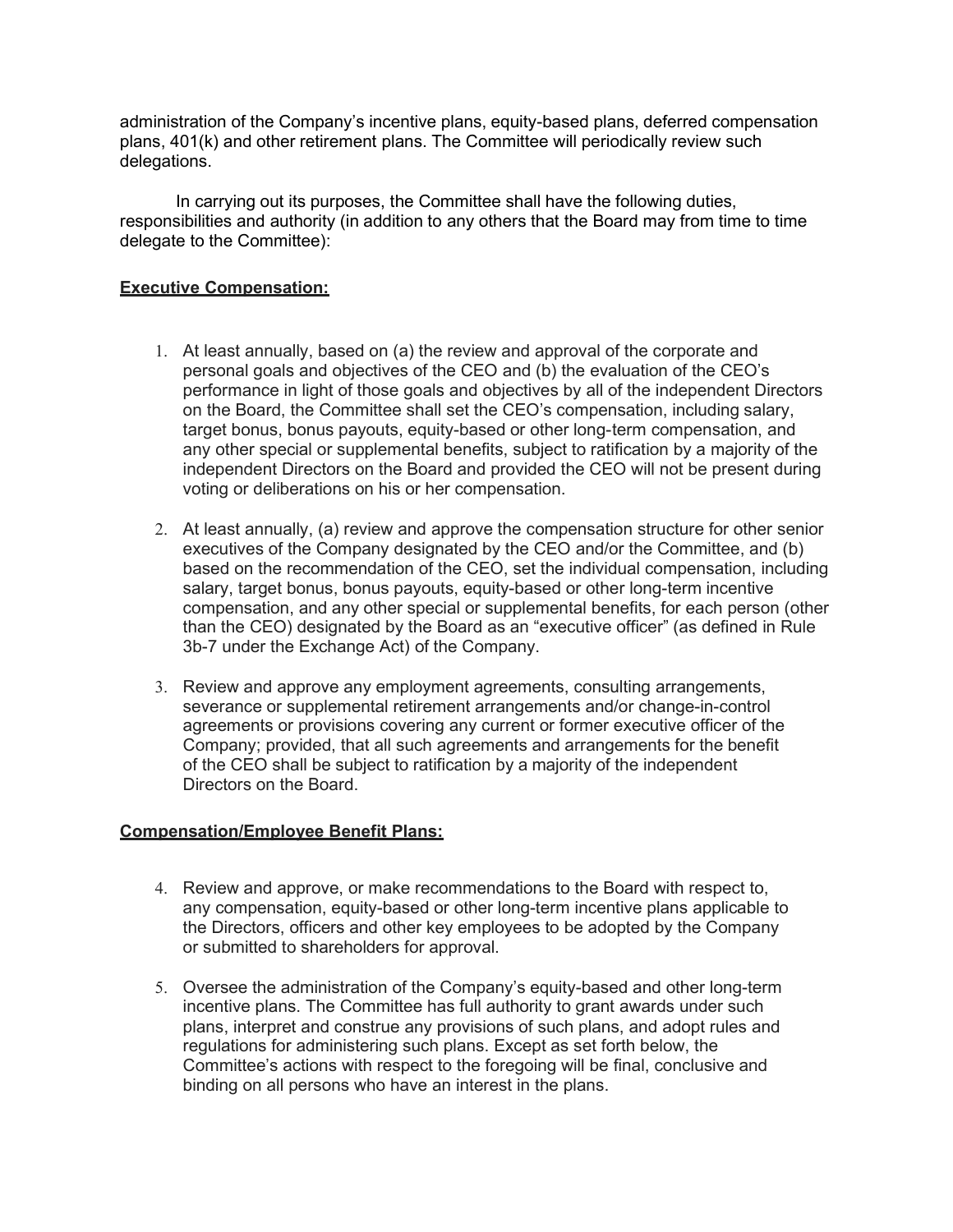administration of the Company's incentive plans, equity-based plans, deferred compensation plans, 401(k) and other retirement plans. The Committee will periodically review such delegations.

In carrying out its purposes, the Committee shall have the following duties, responsibilities and authority (in addition to any others that the Board may from time to time delegate to the Committee):

# Executive Compensation:

- 1. At least annually, based on (a) the review and approval of the corporate and personal goals and objectives of the CEO and (b) the evaluation of the CEO's performance in light of those goals and objectives by all of the independent Directors on the Board, the Committee shall set the CEO's compensation, including salary, target bonus, bonus payouts, equity-based or other long- term compensation, and any other special or supplemental benefits, subject to ratification by a majority of the independent Directors on the Board and provided the CEO will not be present during voting or deliberations on his or her compensation.
- 2. At least annually, (a) review and approve the compensation structure for other senior executives of the Company designated by the CEO and/or the Committee, and (b) based on the recommendation of the CEO, set the individual compensation, including salary, target bonus, bonus payouts, equity-based or other long-term incentive compensation, and any other special or supplemental benefits, for each person (other than the CEO) designated by the Board as an "executive officer" (as defined in Rule 3b-7 under the Exchange Act) of the Company.
- 3. Review and approve any employment agreements, consulting arrangements, severance or supplemental retirement arrangements and/or change-in-control agreements or provisions covering any current or former executive officer of the Company; provided, that all such agreements and arrangements for the benefit of the CEO shall be subject to ratification by a majority of the independent Directors on the Board.

# Compensation/Employee Benefit Plans:

- 4. Review and approve, or make recommendations to the Board with respect to, any compensation, equity-based or other long-term incentive plans applicable to the Directors, officers and other key employees to be adopted by the Company or submitted to shareholders for approval.
- 5. Oversee the administration of the Company's equity-based and other long-term incentive plans. The Committee has full authority to grant awards under such plans, interpret and construe any provisions of such plans, and adopt rules and regulations for administering such plans. Except as set forth below, the Committee's actions with respect to the foregoing will be final, conclusive and binding on all persons who have an interest in the plans.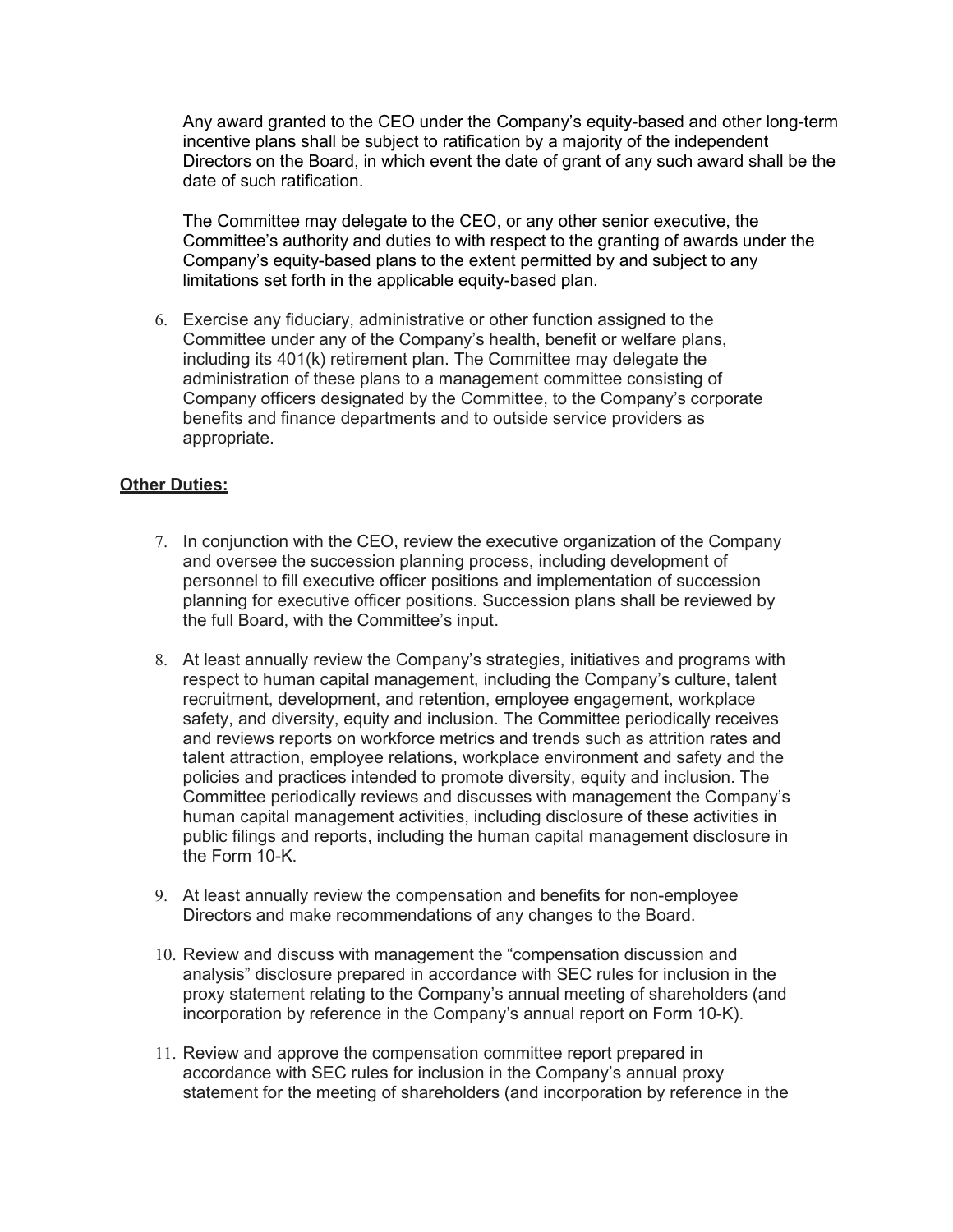Any award granted to the CEO under the Company's equity-based and other long-term incentive plans shall be subject to ratification by a majority of the independent Directors on the Board, in which event the date of grant of any such award shall be the date of such ratification.

The Committee may delegate to the CEO, or any other senior executive, the Committee's authority and duties to with respect to the granting of awards under the Company's equity-based plans to the extent permitted by and subject to any limitations set forth in the applicable equity-based plan.

6. Exercise any fiduciary, administrative or other function assigned to the Committee under any of the Company's health, benefit or welfare plans, including its 401(k) retirement plan. The Committee may delegate the administration of these plans to a management committee consisting of Company officers designated by the Committee, to the Company's corporate benefits and finance departments and to outside service providers as appropriate.

# **Other Duties:**

- 7. In conjunction with the CEO, review the executive organization of the Company and oversee the succession planning process, including development of personnel to fill executive officer positions and implementation of succession planning for executive officer positions. Succession plans shall be reviewed by the full Board, with the Committee's input.
- 8. At least annually review the Company's strategies, initiatives and programs with respect to human capital management, including the Company's culture, talent recruitment, development, and retention, employee engagement, workplace safety, and diversity, equity and inclusion. The Committee periodically receives and reviews reports on workforce metrics and trends such as attrition rates and talent attraction, employee relations, workplace environment and safety and the policies and practices intended to promote diversity, equity and inclusion. The Committee periodically reviews and discusses with management the Company's human capital management activities, including disclosure of these activities in public filings and reports, including the human capital management disclosure in the Form 10-K.
- 9. At least annually review the compensation and benefits for non-employee Directors and make recommendations of any changes to the Board.
- 10. Review and discuss with management the "compensation discussion and analysis" disclosure prepared in accordance with SEC rules for inclusion in the proxy statement relating to the Company's annual meeting of shareholders (and incorporation by reference in the Company's annual report on Form 10-K).
- 11. Review and approve the compensation committee report prepared in accordance with SEC rules for inclusion in the Company's annual proxy statement for the meeting of shareholders (and incorporation by reference in the